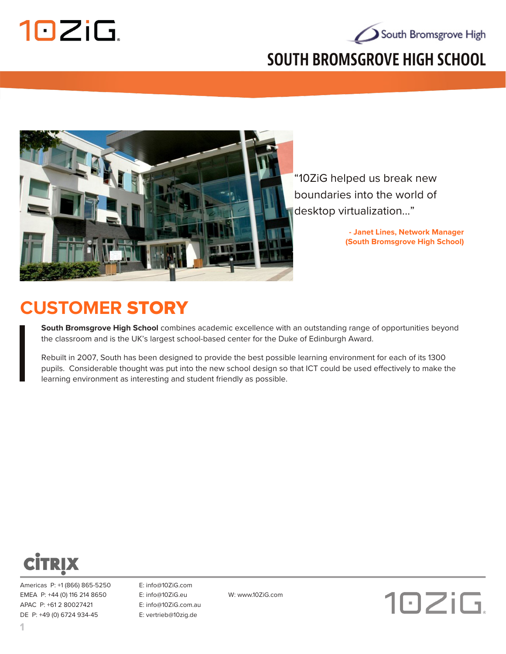

# South Bromsgrove High

#### **SOUTH BROMSGROVE HIGH SCHOOL**



"10ZiG helped us break new boundaries into the world of desktop virtualization..."

> **- Janet Lines, Network Manager (South Bromsgrove High School)**

## **CUSTOMER** STORY

**South Bromsgrove High School** combines academic excellence with an outstanding range of opportunities beyond the classroom and is the UK's largest school-based center for the Duke of Edinburgh Award.

Rebuilt in 2007, South has been designed to provide the best possible learning environment for each of its 1300 pupils. Considerable thought was put into the new school design so that ICT could be used effectively to make the learning environment as interesting and student friendly as possible.



Americas P: +1 (866) 865-5250 E: info@10ZiG.com EMEA P: +44 (0) 116 214 8650 E: info@10ZiG.eu W: www.10ZiG.com APAC P: +61 2 80027421 E: info@10ZiG.com.au DE P: +49 (0) 6724 934-45 E: vertrieb@10zig.de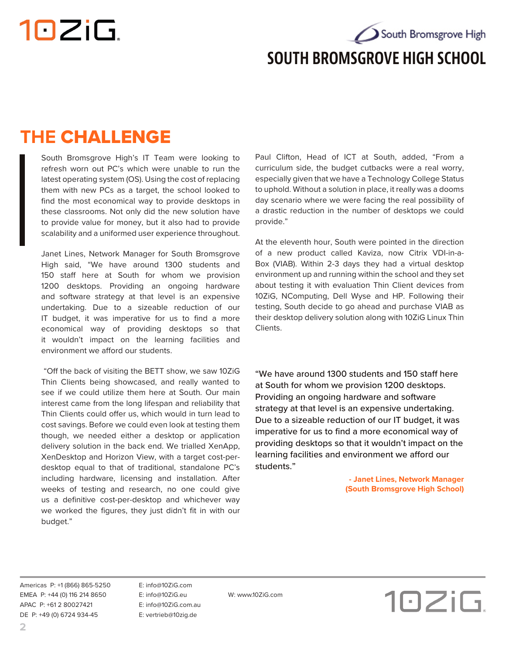# 10ZiG.

South Bromsgrove High **SOUTH BROMSGROVE HIGH SCHOOL**

## **THE** CHALLENGE

South Bromsgrove High's IT Team were looking to refresh worn out PC's which were unable to run the latest operating system (OS). Using the cost of replacing them with new PCs as a target, the school looked to find the most economical way to provide desktops in these classrooms. Not only did the new solution have to provide value for money, but it also had to provide scalability and a uniformed user experience throughout.

Janet Lines, Network Manager for South Bromsgrove High said, "We have around 1300 students and 150 staff here at South for whom we provision 1200 desktops. Providing an ongoing hardware and software strategy at that level is an expensive undertaking. Due to a sizeable reduction of our IT budget, it was imperative for us to find a more economical way of providing desktops so that it wouldn't impact on the learning facilities and environment we afford our students.

 "Off the back of visiting the BETT show, we saw 10ZiG Thin Clients being showcased, and really wanted to see if we could utilize them here at South. Our main interest came from the long lifespan and reliability that Thin Clients could offer us, which would in turn lead to cost savings. Before we could even look at testing them though, we needed either a desktop or application delivery solution in the back end. We trialled XenApp, XenDesktop and Horizon View, with a target cost-perdesktop equal to that of traditional, standalone PC's including hardware, licensing and installation. After weeks of testing and research, no one could give us a definitive cost-per-desktop and whichever way we worked the figures, they just didn't fit in with our budget."

Paul Clifton, Head of ICT at South, added, "From a curriculum side, the budget cutbacks were a real worry, especially given that we have a Technology College Status to uphold. Without a solution in place, it really was a dooms day scenario where we were facing the real possibility of a drastic reduction in the number of desktops we could provide."

At the eleventh hour, South were pointed in the direction of a new product called Kaviza, now Citrix VDI-in-a-Box (VIAB). Within 2-3 days they had a virtual desktop environment up and running within the school and they set about testing it with evaluation Thin Client devices from 10ZiG, NComputing, Dell Wyse and HP. Following their testing, South decide to go ahead and purchase VIAB as their desktop delivery solution along with 10ZiG Linux Thin Clients.

"We have around 1300 students and 150 staff here at South for whom we provision 1200 desktops. Providing an ongoing hardware and software strategy at that level is an expensive undertaking. Due to a sizeable reduction of our IT budget, it was imperative for us to find a more economical way of providing desktops so that it wouldn't impact on the learning facilities and environment we afford our students."

> **- Janet Lines, Network Manager (South Bromsgrove High School)**

Americas P: +1 (866) 865-5250 E: info@10ZiG.com EMEA P: +44 (0) 116 214 8650 E: info@10ZiG.eu W: www.10ZiG.com APAC P: +61 2 80027421 E: info@10ZiG.com.au DE P: +49 (0) 6724 934-45 E: vertrieb@10zig.de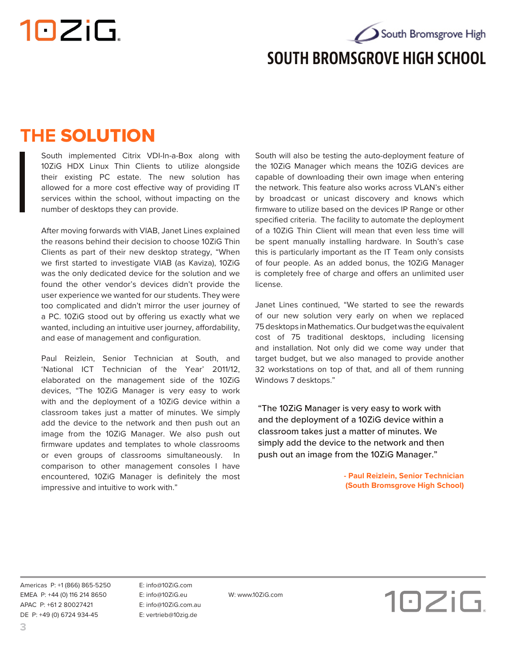10ZiG.

South Bromsgrove High **SOUTH BROMSGROVE HIGH SCHOOL**

### **THE** SOLUTION

South implemented Citrix VDI-In-a-Box along with 10ZiG HDX Linux Thin Clients to utilize alongside their existing PC estate. The new solution has allowed for a more cost effective way of providing IT services within the school, without impacting on the number of desktops they can provide.

After moving forwards with VIAB, Janet Lines explained the reasons behind their decision to choose 10ZiG Thin Clients as part of their new desktop strategy, "When we first started to investigate VIAB (as Kaviza), 10ZiG was the only dedicated device for the solution and we found the other vendor's devices didn't provide the user experience we wanted for our students. They were too complicated and didn't mirror the user journey of a PC. 10ZiG stood out by offering us exactly what we wanted, including an intuitive user journey, affordability, and ease of management and configuration.

Paul Reizlein, Senior Technician at South, and 'National ICT Technician of the Year' 2011/12, elaborated on the management side of the 10ZiG devices, "The 10ZiG Manager is very easy to work with and the deployment of a 10ZiG device within a classroom takes just a matter of minutes. We simply add the device to the network and then push out an image from the 10ZiG Manager. We also push out firmware updates and templates to whole classrooms or even groups of classrooms simultaneously. In comparison to other management consoles I have encountered, 10ZiG Manager is definitely the most impressive and intuitive to work with."

South will also be testing the auto-deployment feature of the 10ZiG Manager which means the 10ZiG devices are capable of downloading their own image when entering the network. This feature also works across VLAN's either by broadcast or unicast discovery and knows which firmware to utilize based on the devices IP Range or other specified criteria. The facility to automate the deployment of a 10ZiG Thin Client will mean that even less time will be spent manually installing hardware. In South's case this is particularly important as the IT Team only consists of four people. As an added bonus, the 10ZiG Manager is completely free of charge and offers an unlimited user license.

Janet Lines continued, "We started to see the rewards of our new solution very early on when we replaced 75 desktops in Mathematics. Our budget was the equivalent cost of 75 traditional desktops, including licensing and installation. Not only did we come way under that target budget, but we also managed to provide another 32 workstations on top of that, and all of them running Windows 7 desktops."

"The 10ZiG Manager is very easy to work with and the deployment of a 10ZiG device within a classroom takes just a matter of minutes. We simply add the device to the network and then push out an image from the 10ZiG Manager."

> **- Paul Reizlein, Senior Technician (South Bromsgrove High School)**

Americas P: +1 (866) 865-5250 E: info@10ZiG.com EMEA P: +44 (0) 116 214 8650 E: info@10ZiG.eu W: www.10ZiG.com APAC P: +61 2 80027421 E: info@10ZiG.com.au DE P: +49 (0) 6724 934-45 E: vertrieb@10zig.de